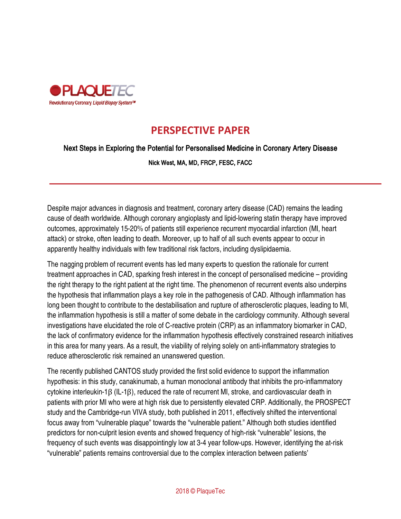

## **PERSPECTIVE PAPER**

## Next Steps in Exploring the Potential for Personalised Medicine in Coronary Artery Disease

Nick West, MA, MD, FRCP, FESC, FACC

Despite major advances in diagnosis and treatment, coronary artery disease (CAD) remains the leading cause of death worldwide. Although coronary angioplasty and lipid-lowering statin therapy have improved outcomes, approximately 15-20% of patients still experience recurrent myocardial infarction (MI, heart attack) or stroke, often leading to death. Moreover, up to half of all such events appear to occur in apparently healthy individuals with few traditional risk factors, including dyslipidaemia.

The nagging problem of recurrent events has led many experts to question the rationale for current treatment approaches in CAD, sparking fresh interest in the concept of personalised medicine – providing the right therapy to the right patient at the right time. The phenomenon of recurrent events also underpins the hypothesis that inflammation plays a key role in the pathogenesis of CAD. Although inflammation has long been thought to contribute to the destabilisation and rupture of atherosclerotic plaques, leading to MI, the inflammation hypothesis is still a matter of some debate in the cardiology community. Although several investigations have elucidated the role of C-reactive protein (CRP) as an inflammatory biomarker in CAD, the lack of confirmatory evidence for the inflammation hypothesis effectively constrained research initiatives in this area for many years. As a result, the viability of relying solely on anti-inflammatory strategies to reduce atherosclerotic risk remained an unanswered question.

The recently published CANTOS study provided the first solid evidence to support the inflammation hypothesis: in this study, canakinumab, a human monoclonal antibody that inhibits the pro-inflammatory cytokine interleukin-1β (IL-1β), reduced the rate of recurrent MI, stroke, and cardiovascular death in patients with prior MI who were at high risk due to persistently elevated CRP. Additionally, the PROSPECT study and the Cambridge-run VIVA study, both published in 2011, effectively shifted the interventional focus away from "vulnerable plaque" towards the "vulnerable patient." Although both studies identified predictors for non-culprit lesion events and showed frequency of high-risk "vulnerable" lesions, the frequency of such events was disappointingly low at 3-4 year follow-ups. However, identifying the at-risk "vulnerable" patients remains controversial due to the complex interaction between patients'